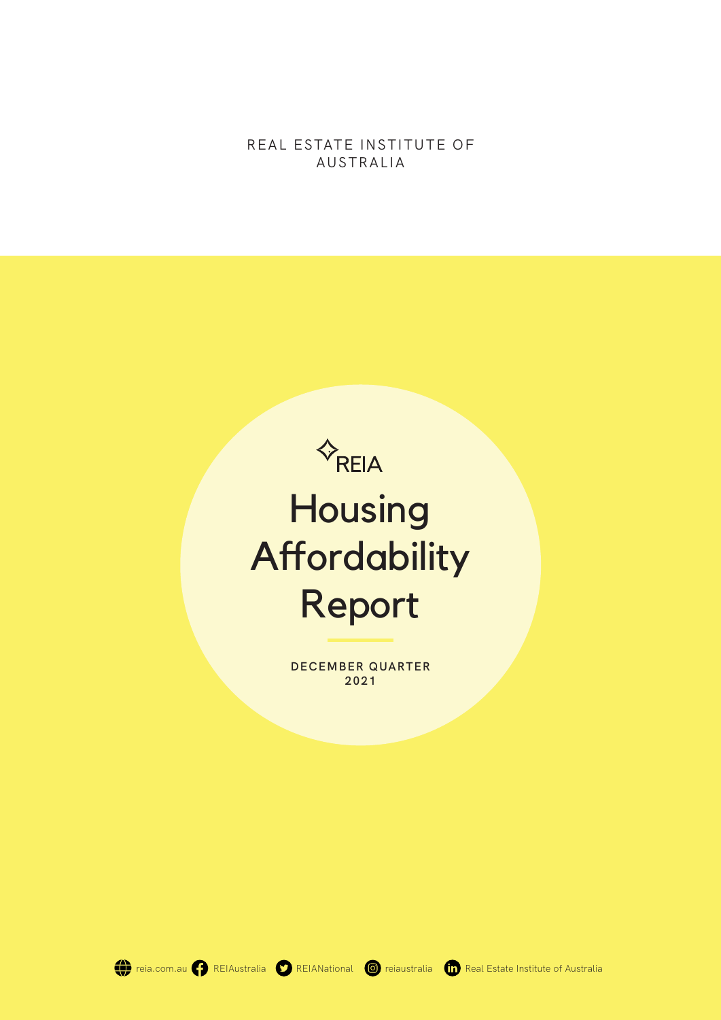REAL ESTATE INSTITUTE OF AUSTRALIA



**DECEMBER QUARTER 2021**

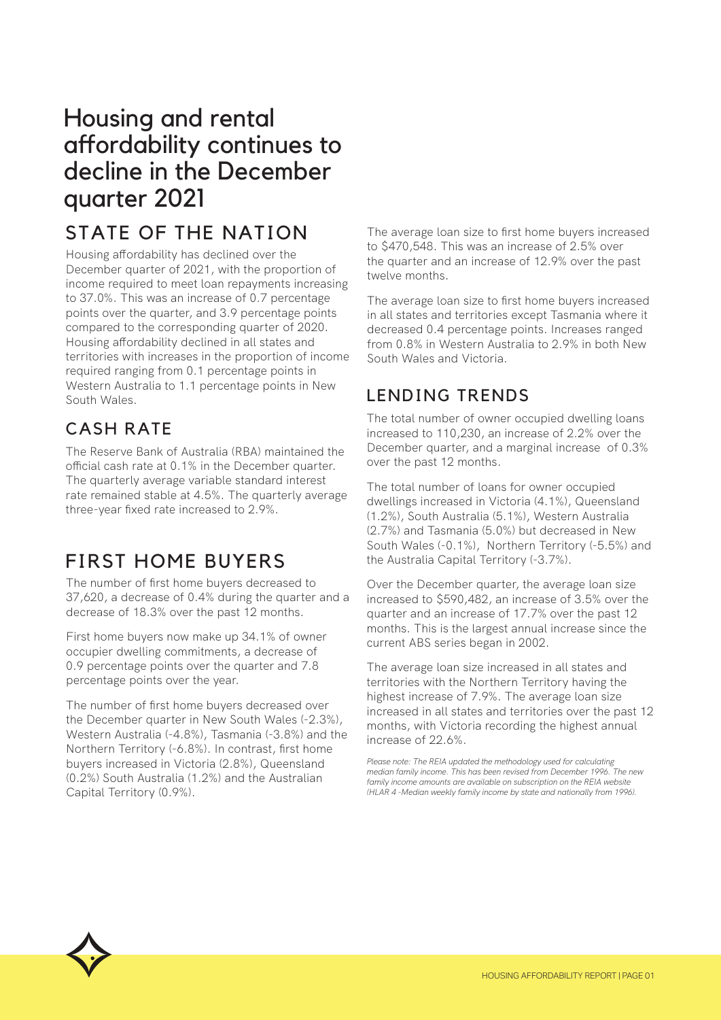# Housing and rental affordability continues to decline in the December quarter 2021

# STATE OF THE NATION

Housing affordability has declined over the December quarter of 2021, with the proportion of income required to meet loan repayments increasing to 37.0%. This was an increase of 0.7 percentage points over the quarter, and 3.9 percentage points compared to the corresponding quarter of 2020. Housing affordability declined in all states and territories with increases in the proportion of income required ranging from 0.1 percentage points in Western Australia to 1.1 percentage points in New South Wales.

## CASH RATE

The Reserve Bank of Australia (RBA) maintained the official cash rate at 0.1% in the December quarter. The quarterly average variable standard interest rate remained stable at 4.5%. The quarterly average three-year fixed rate increased to 2.9%.

## FIRST HOME BUYERS

The number of first home buyers decreased to 37,620, a decrease of 0.4% during the quarter and a decrease of 18.3% over the past 12 months.

First home buyers now make up 34.1% of owner occupier dwelling commitments, a decrease of 0.9 percentage points over the quarter and 7.8 percentage points over the year.

The number of first home buyers decreased over the December quarter in New South Wales (-2.3%), Western Australia (-4.8%), Tasmania (-3.8%) and the Northern Territory (-6.8%). In contrast, first home buyers increased in Victoria (2.8%), Queensland (0.2%) South Australia (1.2%) and the Australian Capital Territory (0.9%).

The average loan size to first home buyers increased to \$470,548. This was an increase of 2.5% over the quarter and an increase of 12.9% over the past twelve months.

The average loan size to first home buyers increased in all states and territories except Tasmania where it decreased 0.4 percentage points. Increases ranged from 0.8% in Western Australia to 2.9% in both New South Wales and Victoria.

## LENDING TRENDS

The total number of owner occupied dwelling loans increased to 110,230, an increase of 2.2% over the December quarter, and a marginal increase of 0.3% over the past 12 months.

The total number of loans for owner occupied dwellings increased in Victoria (4.1%), Queensland (1.2%), South Australia (5.1%), Western Australia (2.7%) and Tasmania (5.0%) but decreased in New South Wales (-0.1%), Northern Territory (-5.5%) and the Australia Capital Territory (-3.7%).

Over the December quarter, the average loan size increased to \$590,482, an increase of 3.5% over the quarter and an increase of 17.7% over the past 12 months. This is the largest annual increase since the current ABS series began in 2002.

The average loan size increased in all states and territories with the Northern Territory having the highest increase of 7.9%. The average loan size increased in all states and territories over the past 12 months, with Victoria recording the highest annual increase of 22.6%.

*Please note: The REIA updated the methodology used for calculating median family income. This has been revised from December 1996. The new*  family income amounts are available on subscription on the REIA website *(HLAR 4 -Median weekly family income by state and nationally from 1996).*

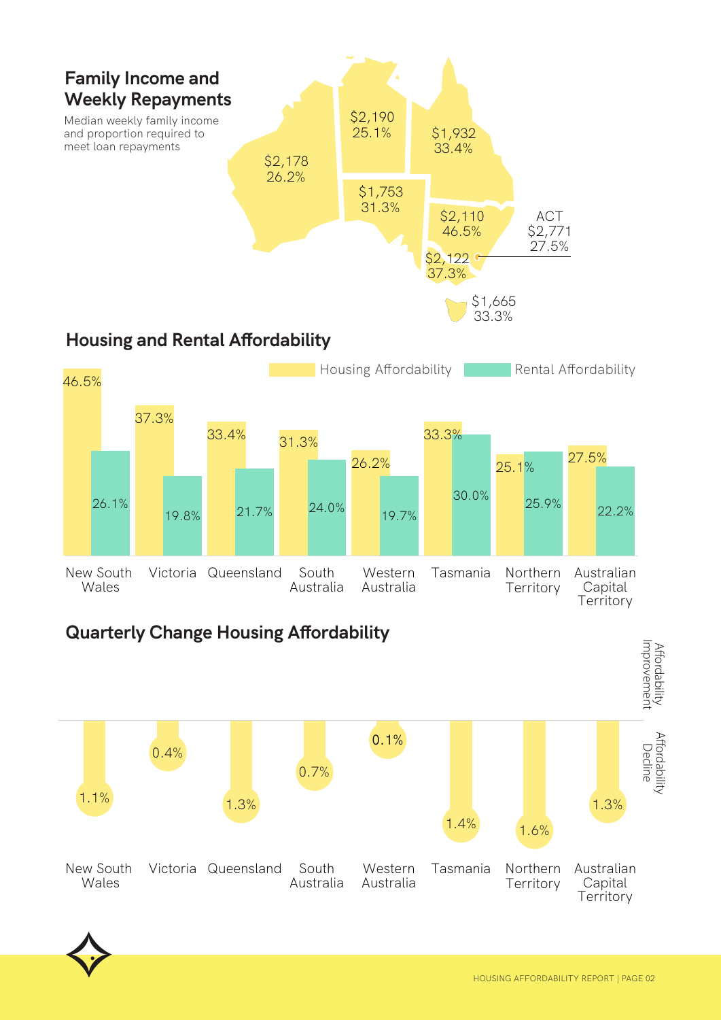

## **Quarterly Change Housing Affordability**

Victoria Queensland South

Australia

19.8% 21.7% 24.0% 19.7%



Western Australia

26.2%

Tasmania Northern

**Territory** 

30.0% 25.9% 22.2%

Australian Capital **Territory** 



New South Wales

26.1%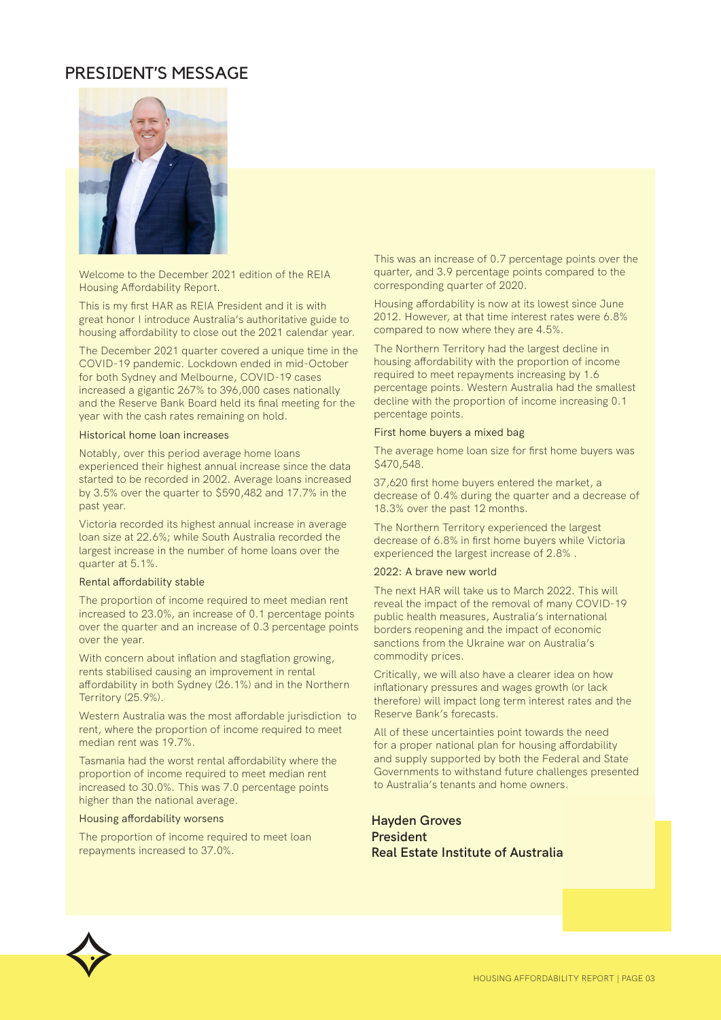## PRESIDENT'S MESSAGE



Welcome to the December 2021 edition of the REIA Housing Affordability Report.

This is my first HAR as REIA President and it is with great honor I introduce Australia's authoritative guide to housing affordability to close out the 2021 calendar year.

The December 2021 quarter covered a unique time in the COVID-19 pandemic. Lockdown ended in mid-October for both Sydney and Melbourne, COVID-19 cases increased a gigantic 267% to 396,000 cases nationally and the Reserve Bank Board held its final meeting for the year with the cash rates remaining on hold.

#### Historical home loan increases

Notably, over this period average home loans experienced their highest annual increase since the data started to be recorded in 2002. Average loans increased by 3.5% over the quarter to \$590,482 and 17.7% in the past year.

Victoria recorded its highest annual increase in average loan size at 22.6%; while South Australia recorded the largest increase in the number of home loans over the quarter at 5.1%.

#### Rental affordability stable

The proportion of income required to meet median rent increased to 23.0%, an increase of 0.1 percentage points over the quarter and an increase of 0.3 percentage points over the year.

With concern about inflation and stagflation growing, rents stabilised causing an improvement in rental affordability in both Sydney (26.1%) and in the Northern Territory (25.9%).

Western Australia was the most affordable jurisdiction to rent, where the proportion of income required to meet median rent was 19.7%.

Tasmania had the worst rental affordability where the proportion of income required to meet median rent increased to 30.0%. This was 7.0 percentage points higher than the national average.

#### Housing affordability worsens

The proportion of income required to meet loan repayments increased to 37.0%.

This was an increase of 0.7 percentage points over the quarter, and 3.9 percentage points compared to the corresponding quarter of 2020.

Housing affordability is now at its lowest since June 2012. However, at that time interest rates were 6.8% compared to now where they are 4.5%.

The Northern Territory had the largest decline in housing affordability with the proportion of income required to meet repayments increasing by 1.6 percentage points. Western Australia had the smallest decline with the proportion of income increasing 0.1 percentage points.

#### First home buyers a mixed bag

The average home loan size for first home buyers was \$470,548.

37,620 first home buyers entered the market, a decrease of 0.4% during the quarter and a decrease of 18.3% over the past 12 months.

The Northern Territory experienced the largest decrease of 6.8% in first home buyers while Victoria experienced the largest increase of 2.8% .

#### 2022: A brave new world

The next HAR will take us to March 2022. This will reveal the impact of the removal of many COVID-19 public health measures, Australia's international borders reopening and the impact of economic sanctions from the Ukraine war on Australia's commodity prices.

Critically, we will also have a clearer idea on how inflationary pressures and wages growth (or lack therefore) will impact long term interest rates and the Reserve Bank's forecasts.

All of these uncertainties point towards the need for a proper national plan for housing affordability and supply supported by both the Federal and State Governments to withstand future challenges presented to Australia's tenants and home owners.

**Hayden Groves President Real Estate Institute of Australia**

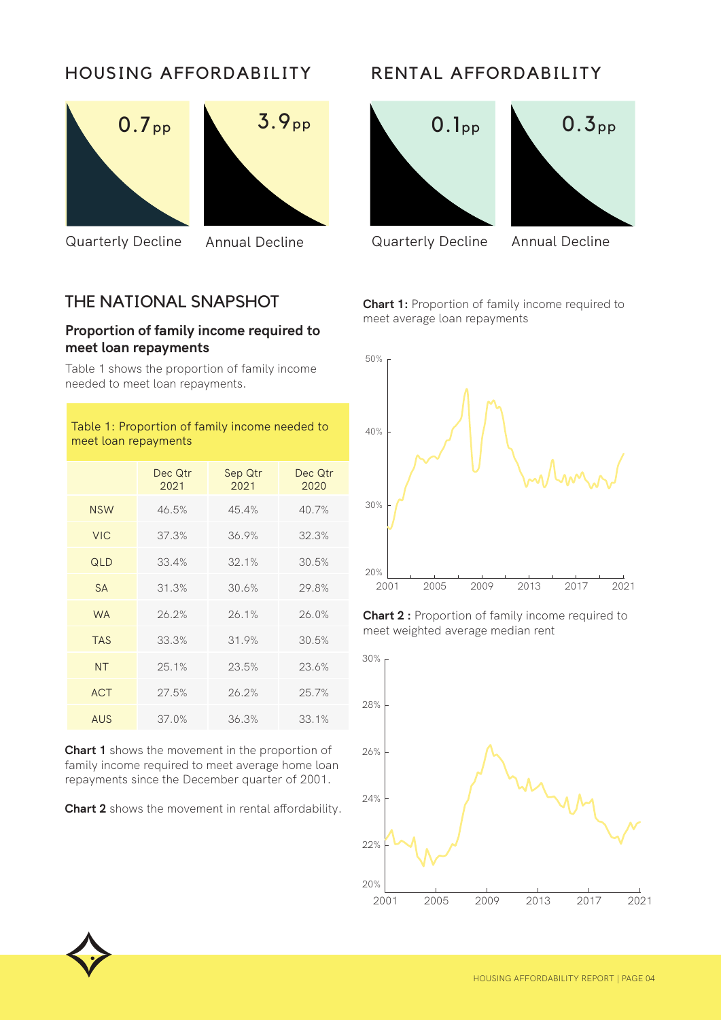## HOUSING AFFORDABILITY





Quarterly Decline Annual Decline Quarterly Decline Annual Decline

## THE NATIONAL SNAPSHOT

#### **Proportion of family income required to meet loan repayments**

Table 1 shows the proportion of family income needed to meet loan repayments.

#### Table 1: Proportion of family income needed to meet loan repayments

|            | Dec Qtr<br>2021 | Sep Qtr<br>2021 | Dec Qtr<br>2020 |
|------------|-----------------|-----------------|-----------------|
| <b>NSW</b> | 46.5%           | 45.4%           | 40.7%           |
| <b>VIC</b> | 37.3%           | 36.9%           | 32.3%           |
| QLD        | 33.4%           | 32.1%           | 30.5%           |
| <b>SA</b>  | 31.3%           | 30.6%           | 29.8%           |
| <b>WA</b>  | 26.2%           | 26.1%           | 26.0%           |
| <b>TAS</b> | 33.3%           | 31.9%           | 30.5%           |
| <b>NT</b>  | 25.1%           | 23.5%           | 23.6%           |
| <b>ACT</b> | 27.5%           | 26.2%           | 25.7%           |
| <b>AUS</b> | 37.0%           | 36.3%           | 33.1%           |

**Chart 1** shows the movement in the proportion of family income required to meet average home loan repayments since the December quarter of 2001.

**Chart 2** shows the movement in rental affordability.

## RENTAL AFFORDABILITY







**Chart 1:** Proportion of family income required to meet average loan repayments



**Chart 2 :** Proportion of family income required to meet weighted average median rent



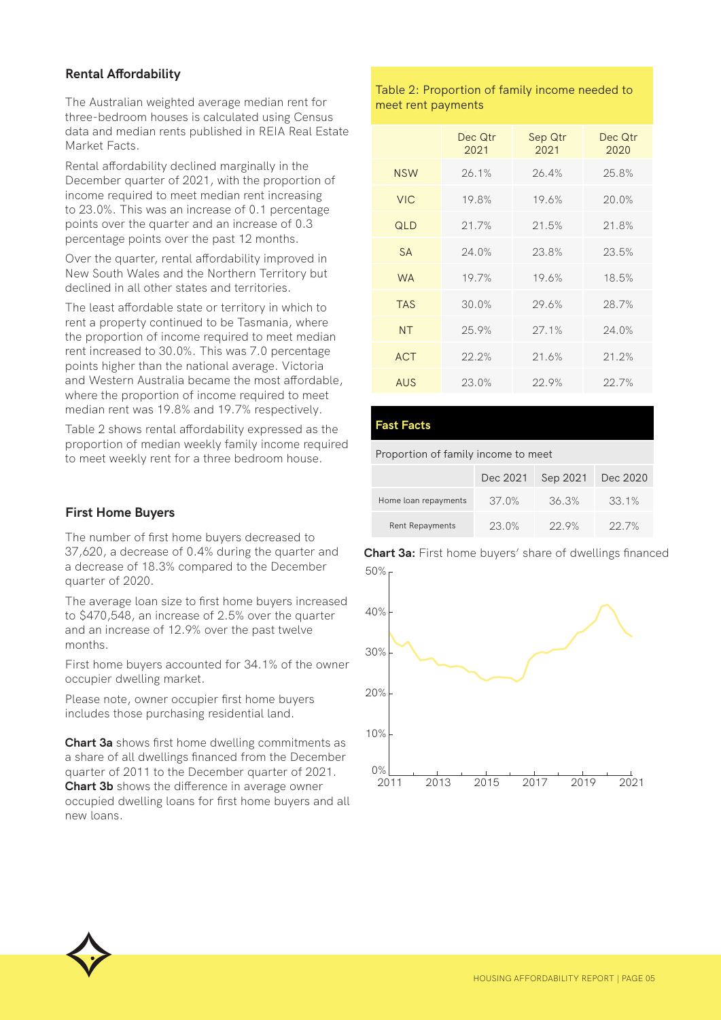#### **Rental Affordability**

The Australian weighted average median rent for three-bedroom houses is calculated using Census data and median rents published in REIA Real Estate Market Facts.

Rental affordability declined marginally in the December quarter of 2021, with the proportion of income required to meet median rent increasing to 23.0%. This was an increase of 0.1 percentage points over the quarter and an increase of 0.3 percentage points over the past 12 months.

Over the quarter, rental affordability improved in New South Wales and the Northern Territory but declined in all other states and territories.

The least affordable state or territory in which to rent a property continued to be Tasmania, where the proportion of income required to meet median rent increased to 30.0%. This was 7.0 percentage points higher than the national average. Victoria and Western Australia became the most affordable, where the proportion of income required to meet median rent was 19.8% and 19.7% respectively.

Table 2 shows rental affordability expressed as the proportion of median weekly family income required to meet weekly rent for a three bedroom house.

#### **First Home Buyers**

The number of first home buyers decreased to 37,620, a decrease of 0.4% during the quarter and a decrease of 18.3% compared to the December quarter of 2020.

The average loan size to first home buyers increased to \$470,548, an increase of 2.5% over the quarter and an increase of 12.9% over the past twelve months.

First home buyers accounted for 34.1% of the owner occupier dwelling market.

Please note, owner occupier first home buyers includes those purchasing residential land.

**Chart 3a** shows first home dwelling commitments as a share of all dwellings financed from the December quarter of 2011 to the December quarter of 2021. **Chart 3b** shows the difference in average owner occupied dwelling loans for first home buyers and all new loans.

#### Table 2: Proportion of family income needed to meet rent payments

|            | Dec Qtr<br>2021 | Sep Qtr<br>2021 | Dec Qtr<br>2020 |
|------------|-----------------|-----------------|-----------------|
| <b>NSW</b> | 26.1%           | 26.4%           | 25.8%           |
| <b>VIC</b> | 19.8%           | 19.6%           | 20.0%           |
| QLD        | 21.7%           | 21.5%           | 21.8%           |
| <b>SA</b>  | 24.0%           | 23.8%           | 23.5%           |
| <b>WA</b>  | 19.7%           | 19.6%           | 18.5%           |
| <b>TAS</b> | 30.0%           | 29.6%           | 28.7%           |
| <b>NT</b>  | 25.9%           | 27.1%           | 24.0%           |
| <b>ACT</b> | 22.2%           | 21.6%           | 21.2%           |
| AUS        | 23.0%           | 22.9%           | 22.7%           |

#### **Fast Facts**

Proportion of family income to meet

|                        | Dec 2021 | Sep 2021 | Dec 2020 |
|------------------------|----------|----------|----------|
| Home loan repayments   | 37.0%    | 36.3%    | 33.1%    |
| <b>Rent Repayments</b> | $23.0\%$ | $22.9\%$ | $22.7\%$ |

50% **Chart 3a:** First home buyers' share of dwellings financed



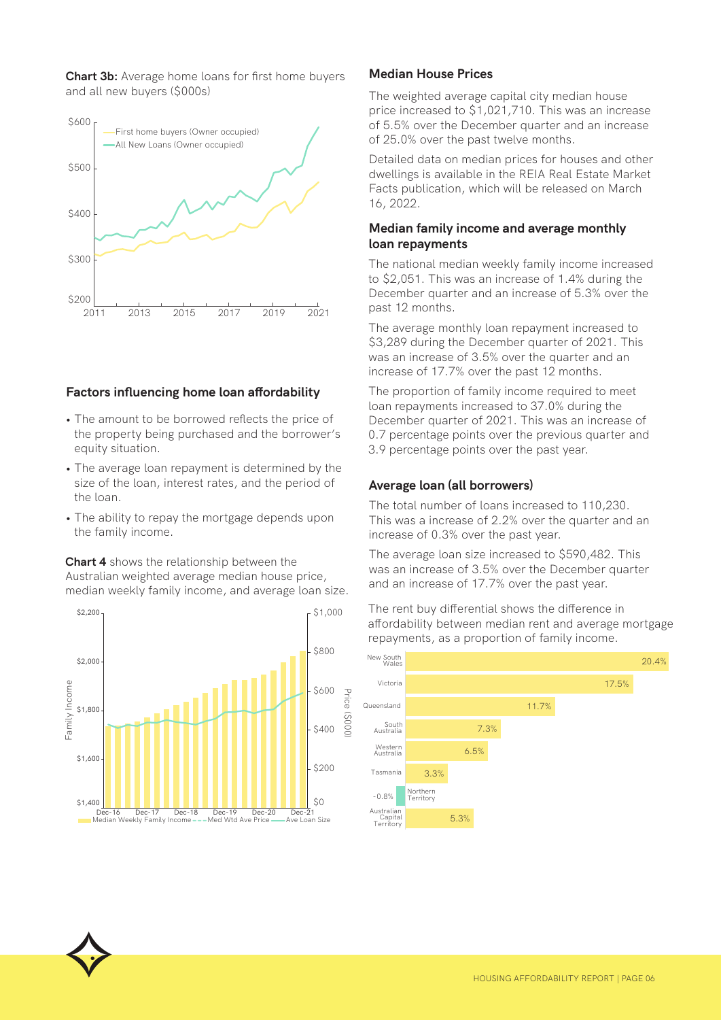**Chart 3b:** Average home loans for first home buyers and all new buyers (\$000s)



#### **Factors influencing home loan affordability**

- The amount to be borrowed reflects the price of the property being purchased and the borrower's equity situation.
- The average loan repayment is determined by the size of the loan, interest rates, and the period of the loan.
- The ability to repay the mortgage depends upon the family income.

**Chart 4** shows the relationship between the Australian weighted average median house price, median weekly family income, and average loan size.



#### **Median House Prices**

The weighted average capital city median house price increased to \$1,021,710. This was an increase of 5.5% over the December quarter and an increase of 25.0% over the past twelve months.

Detailed data on median prices for houses and other dwellings is available in the REIA Real Estate Market Facts publication, which will be released on March 16, 2022.

#### **Median family income and average monthly loan repayments**

The national median weekly family income increased to \$2,051. This was an increase of 1.4% during the December quarter and an increase of 5.3% over the past 12 months.

The average monthly loan repayment increased to \$3,289 during the December quarter of 2021. This was an increase of 3.5% over the quarter and an increase of 17.7% over the past 12 months.

The proportion of family income required to meet loan repayments increased to 37.0% during the December quarter of 2021. This was an increase of 0.7 percentage points over the previous quarter and 3.9 percentage points over the past year.

#### **Average loan (all borrowers)**

The total number of loans increased to 110,230. This was a increase of 2.2% over the quarter and an increase of 0.3% over the past year.

The average loan size increased to \$590,482. This was an increase of 3.5% over the December quarter and an increase of 17.7% over the past year.

The rent buy differential shows the difference in affordability between median rent and average mortgage repayments, as a proportion of family income.

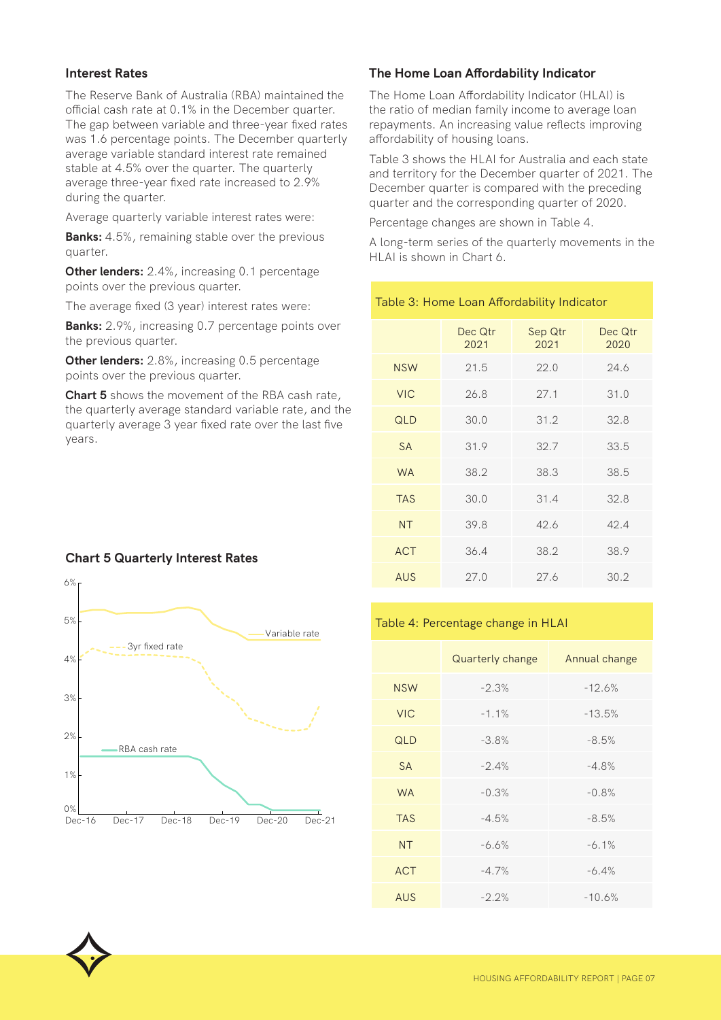#### **Interest Rates**

The Reserve Bank of Australia (RBA) maintained the official cash rate at 0.1% in the December quarter. The gap between variable and three-year fixed rates was 1.6 percentage points. The December quarterly average variable standard interest rate remained stable at 4.5% over the quarter. The quarterly average three-year fixed rate increased to 2.9% during the quarter.

Average quarterly variable interest rates were:

**Banks:** 4.5%, remaining stable over the previous quarter.

**Other lenders:** 2.4%, increasing 0.1 percentage points over the previous quarter.

The average fixed (3 year) interest rates were:

**Banks:** 2.9%, increasing 0.7 percentage points over the previous quarter.

**Other lenders:** 2.8%, increasing 0.5 percentage points over the previous quarter.

**Chart 5** shows the movement of the RBA cash rate, the quarterly average standard variable rate, and the quarterly average 3 year fixed rate over the last five years.

#### **Chart 5 Quarterly Interest Rates**



#### **The Home Loan Affordability Indicator**

The Home Loan Affordability Indicator (HLAI) is the ratio of median family income to average loan repayments. An increasing value reflects improving affordability of housing loans.

Table 3 shows the HLAI for Australia and each state and territory for the December quarter of 2021. The December quarter is compared with the preceding quarter and the corresponding quarter of 2020.

Percentage changes are shown in Table 4.

Table 3: Home Loan Affordability Indicator

A long-term series of the quarterly movements in the HLAI is shown in Chart 6.

|            | Dec Qtr<br>2021 | Sep Qtr<br>2021 | Dec Qtr<br>2020 |
|------------|-----------------|-----------------|-----------------|
| <b>NSW</b> | 21.5            | 22.0            | 24.6            |
| <b>VIC</b> | 26.8            | 27.1            | 31.0            |
| QLD        | 30.0            | 31.2            | 32.8            |
| <b>SA</b>  | 31.9            | 32.7            | 33.5            |
| <b>WA</b>  | 38.2            | 38.3            | 38.5            |
| <b>TAS</b> | 30.0            | 31.4            | 32.8            |
| <b>NT</b>  | 39.8            | 42.6            | 42.4            |
| <b>ACT</b> | 36.4            | 38.2            | 38.9            |
| <b>AUS</b> | 27.0            | 27.6            | 30.2            |

#### Table 4: Percentage change in HLAI

|            | Quarterly change | Annual change |
|------------|------------------|---------------|
| <b>NSW</b> | $-2.3%$          | $-12.6%$      |
| <b>VIC</b> | $-1.1%$          | $-13.5%$      |
| QLD        | $-3.8%$          | $-8.5%$       |
| <b>SA</b>  | $-2.4%$          | $-4.8%$       |
| <b>WA</b>  | $-0.3%$          | $-0.8%$       |
| <b>TAS</b> | $-4.5%$          | $-8.5%$       |
| <b>NT</b>  | $-6.6%$          | $-6.1\%$      |
| <b>ACT</b> | $-4.7%$          | $-6.4%$       |
| <b>AUS</b> | $-2.2\%$         | $-10.6%$      |

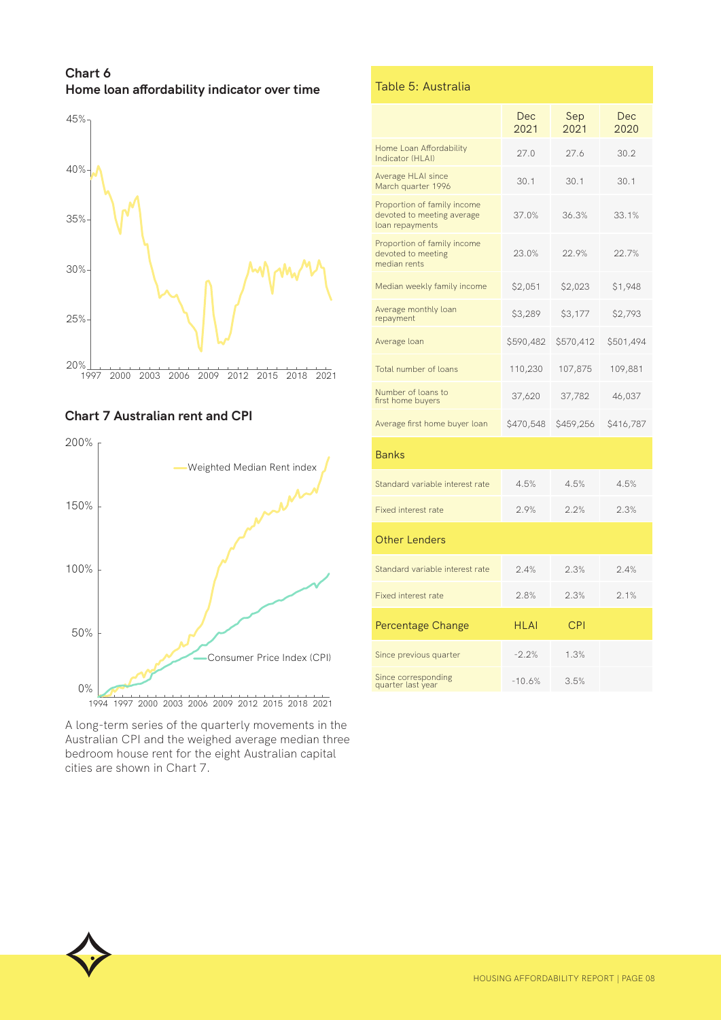**Chart 6 Home loan affordability indicator over time**



#### **Chart 7 Australian rent and CPI**



A long-term series of the quarterly movements in the Australian CPI and the weighed average median three bedroom house rent for the eight Australian capital cities are shown in Chart 7.

#### Table 5: Australia

|                                                                              | Dec<br>2021 | Sep<br>2021 | Dec<br>2020 |
|------------------------------------------------------------------------------|-------------|-------------|-------------|
| Home Loan Affordability<br>Indicator (HLAI)                                  | 27.0        | 27.6        | 30.2        |
| Average HLAI since<br>March quarter 1996                                     | 30.1        | 30.1        | 30.1        |
| Proportion of family income<br>devoted to meeting average<br>loan repayments | 37.0%       | 36.3%       | 33.1%       |
| Proportion of family income<br>devoted to meeting<br>median rents            | 23.0%       | 22.9%       | 22.7%       |
| Median weekly family income                                                  | \$2,051     | \$2,023     | \$1,948     |
| Average monthly loan<br>repayment                                            | \$3,289     | \$3,177     | \$2,793     |
| Average loan                                                                 | \$590,482   | \$570,412   | \$501,494   |
| Total number of loans                                                        | 110,230     | 107,875     | 109,881     |
| Number of loans to<br>first home buyers                                      | 37,620      | 37,782      | 46,037      |
| Average first home buyer loan                                                | \$470,548   | \$459,256   | \$416,787   |
| <b>Banks</b>                                                                 |             |             |             |
| Standard variable interest rate                                              | 4.5%        | 4.5%        | 4.5%        |
| <b>Fixed interest rate</b>                                                   | 2.9%        | 2.2%        | 2.3%        |
| <b>Other Lenders</b>                                                         |             |             |             |
| Standard variable interest rate                                              | 2.4%        | 2.3%        | 2.4%        |
| <b>Fixed interest rate</b>                                                   | 2.8%        | 2.3%        | 2.1%        |
| Percentage Change                                                            | HI AI       | CPI         |             |
| Since previous quarter                                                       | $-2.2%$     | 1.3%        |             |
| Since corresponding<br>quarter last year                                     | $-10.6%$    | 3.5%        |             |

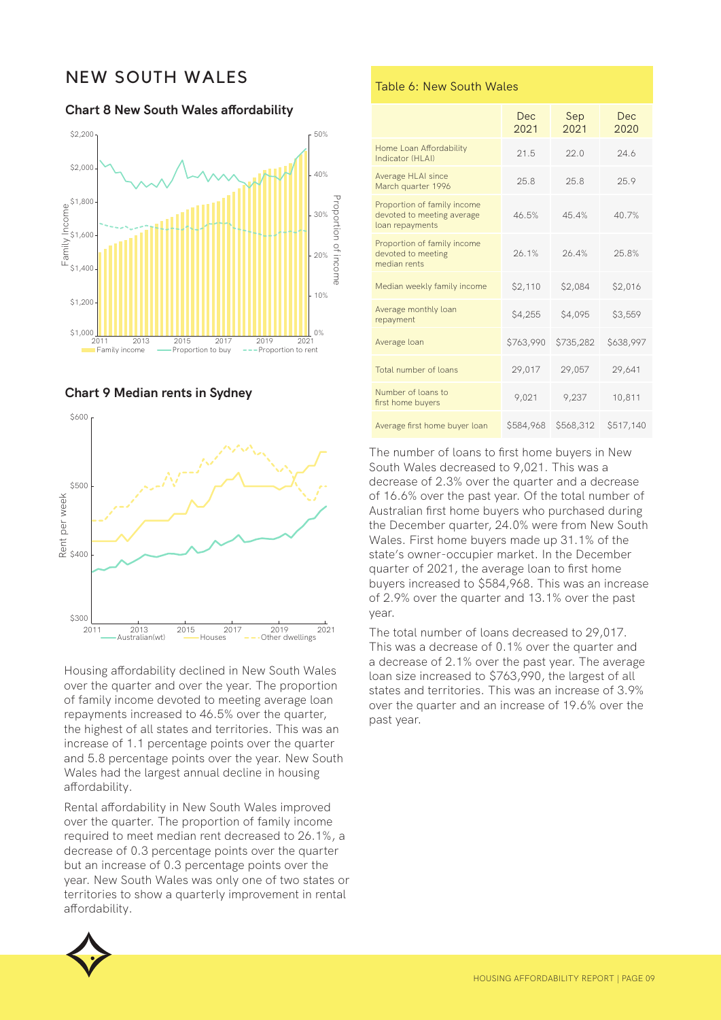## NEW SOUTH WALES

**Chart 8 New South Wales affordability**







Housing affordability declined in New South Wales over the quarter and over the year. The proportion of family income devoted to meeting average loan repayments increased to 46.5% over the quarter, the highest of all states and territories. This was an increase of 1.1 percentage points over the quarter and 5.8 percentage points over the year. New South Wales had the largest annual decline in housing affordability.

Rental affordability in New South Wales improved over the quarter. The proportion of family income required to meet median rent decreased to 26.1%, a decrease of 0.3 percentage points over the quarter but an increase of 0.3 percentage points over the year. New South Wales was only one of two states or territories to show a quarterly improvement in rental affordability.



#### Table 6: New South Wales

|                                                                              | Dec<br>2021 | Sep<br>2021 | Dec<br>2020 |
|------------------------------------------------------------------------------|-------------|-------------|-------------|
| Home Loan Affordability<br>Indicator (HI AI)                                 | 21.5        | 22.0        | 24.6        |
| Average HLAI since<br>March quarter 1996                                     | 25.8        | 25.8        | 25.9        |
| Proportion of family income<br>devoted to meeting average<br>loan repayments | 46.5%       | 45.4%       | 40.7%       |
| Proportion of family income<br>devoted to meeting<br>median rents            | 26.1%       | 26.4%       | 25.8%       |
| Median weekly family income                                                  | \$2,110     | \$2,084     | \$2,016     |
| Average monthly loan<br>repayment                                            | \$4,255     | \$4,095     | \$3,559     |
| Average loan                                                                 | \$763,990   | \$735,282   | \$638,997   |
| Total number of loans                                                        | 29,017      | 29,057      | 29,641      |
| Number of loans to<br>first home buyers                                      | 9,021       | 9,237       | 10,811      |
| Average first home buyer loan                                                | \$584,968   | \$568,312   | \$517,140   |

The number of loans to first home buyers in New South Wales decreased to 9,021. This was a decrease of 2.3% over the quarter and a decrease of 16.6% over the past year. Of the total number of Australian first home buyers who purchased during the December quarter, 24.0% were from New South Wales. First home buyers made up 31.1% of the state's owner-occupier market. In the December quarter of 2021, the average loan to first home buyers increased to \$584,968. This was an increase of 2.9% over the quarter and 13.1% over the past year.

The total number of loans decreased to 29,017. This was a decrease of 0.1% over the quarter and a decrease of 2.1% over the past year. The average loan size increased to \$763,990, the largest of all states and territories. This was an increase of 3.9% over the quarter and an increase of 19.6% over the past year.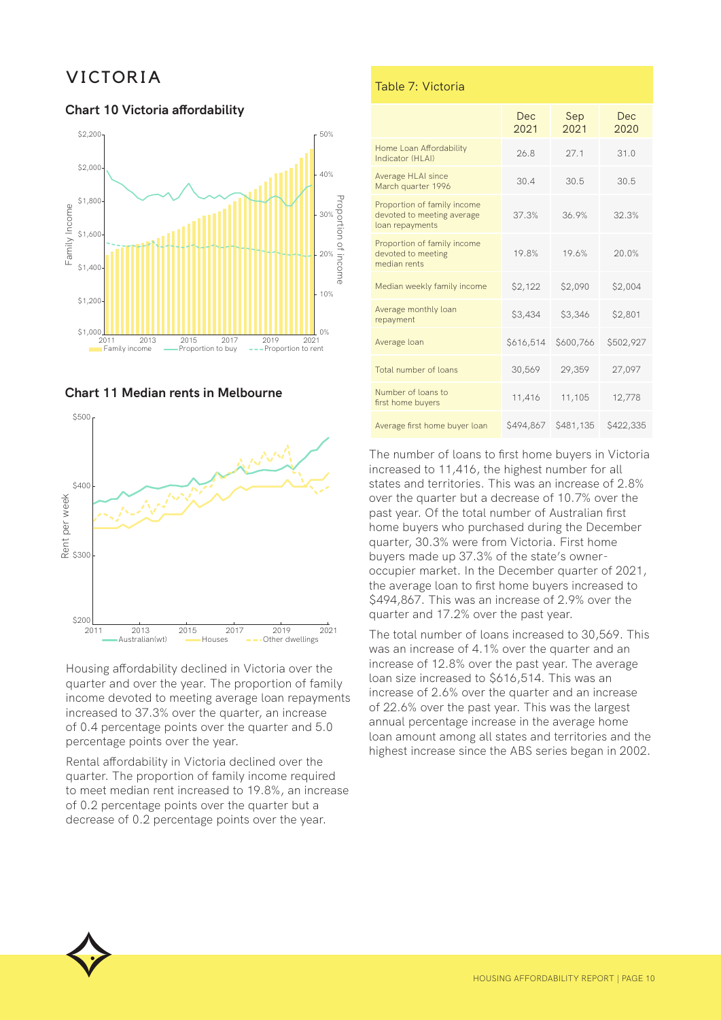## VICTORIA

#### **Chart 10 Victoria affordability**







Housing affordability declined in Victoria over the quarter and over the year. The proportion of family income devoted to meeting average loan repayments increased to 37.3% over the quarter, an increase of 0.4 percentage points over the quarter and 5.0 percentage points over the year.

Rental affordability in Victoria declined over the quarter. The proportion of family income required to meet median rent increased to 19.8%, an increase of 0.2 percentage points over the quarter but a decrease of 0.2 percentage points over the year.

#### Table 7: Victoria

|                                                                              | Dec.<br>2021 | Sep<br>2021 | Dec<br>2020 |
|------------------------------------------------------------------------------|--------------|-------------|-------------|
| Home Loan Affordability<br>Indicator (HI AI)                                 | 26.8         | 27.1        | 31.0        |
| Average HLAI since<br>March quarter 1996                                     | 30.4         | 30.5        | 30.5        |
| Proportion of family income<br>devoted to meeting average<br>loan repayments | 37.3%        | 36.9%       | 32.3%       |
| Proportion of family income<br>devoted to meeting<br>median rents            | 19.8%        | 19.6%       | 20.0%       |
| Median weekly family income                                                  | \$2,122      | \$2,090     | \$2,004     |
| Average monthly loan<br>repayment                                            | \$3,434      | \$3,346     | \$2,801     |
| Average loan                                                                 | \$616,514    | \$600,766   | \$502,927   |
| Total number of loans                                                        | 30,569       | 29,359      | 27,097      |
| Number of loans to<br>first home buyers                                      | 11,416       | 11,105      | 12,778      |
| Average first home buyer loan                                                | \$494,867    | \$481,135   | \$422,335   |

The number of loans to first home buyers in Victoria increased to 11,416, the highest number for all states and territories. This was an increase of 2.8% over the quarter but a decrease of 10.7% over the past year. Of the total number of Australian first home buyers who purchased during the December quarter, 30.3% were from Victoria. First home buyers made up 37.3% of the state's owneroccupier market. In the December quarter of 2021, the average loan to first home buyers increased to \$494,867. This was an increase of 2.9% over the quarter and 17.2% over the past year.

The total number of loans increased to 30,569. This was an increase of 4.1% over the quarter and an increase of 12.8% over the past year. The average loan size increased to \$616,514. This was an increase of 2.6% over the quarter and an increase of 22.6% over the past year. This was the largest annual percentage increase in the average home loan amount among all states and territories and the highest increase since the ABS series began in 2002.

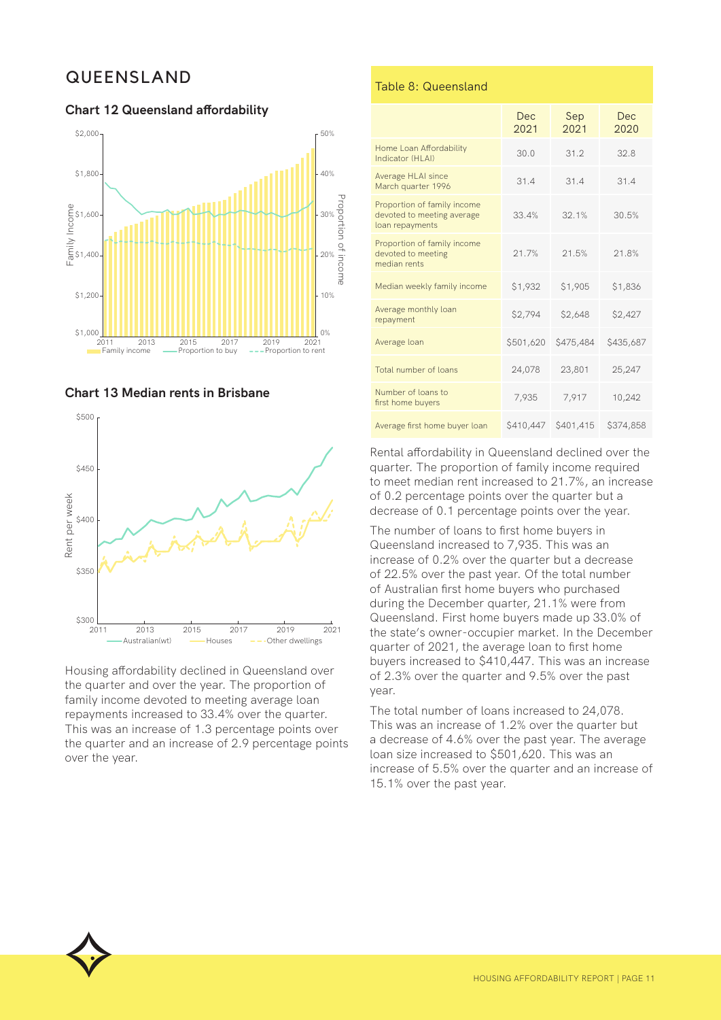## QUEENSLAND

#### **Chart 12 Queensland affordability**







Housing affordability declined in Queensland over the quarter and over the year. The proportion of family income devoted to meeting average loan repayments increased to 33.4% over the quarter. This was an increase of 1.3 percentage points over the quarter and an increase of 2.9 percentage points over the year.

#### Table 8: Queensland

|                                                                              | Dec<br>2021 | Sep<br>2021 | Dec<br>2020 |
|------------------------------------------------------------------------------|-------------|-------------|-------------|
| Home Loan Affordability<br>Indicator (HI AI)                                 | 30.0        | 31.2        | 32.8        |
| Average HLAI since<br>March quarter 1996                                     | 31.4        | 31.4        | 31.4        |
| Proportion of family income<br>devoted to meeting average<br>loan repayments | 33.4%       | 32.1%       | 30.5%       |
| Proportion of family income<br>devoted to meeting<br>median rents            | 21.7%       | 21.5%       | 21.8%       |
| Median weekly family income                                                  | \$1,932     | \$1,905     | \$1,836     |
| Average monthly loan<br>repayment                                            | \$2,794     | \$2,648     | \$2,427     |
| Average loan                                                                 | \$501,620   | \$475,484   | \$435,687   |
| Total number of loans                                                        | 24,078      | 23,801      | 25,247      |
| Number of loans to<br>first home buyers                                      | 7,935       | 7,917       | 10,242      |
| Average first home buyer loan                                                | \$410,447   | \$401,415   | \$374,858   |

Rental affordability in Queensland declined over the quarter. The proportion of family income required to meet median rent increased to 21.7%, an increase of 0.2 percentage points over the quarter but a decrease of 0.1 percentage points over the year.

The number of loans to first home buyers in Queensland increased to 7,935. This was an increase of 0.2% over the quarter but a decrease of 22.5% over the past year. Of the total number of Australian first home buyers who purchased during the December quarter, 21.1% were from Queensland. First home buyers made up 33.0% of the state's owner-occupier market. In the December quarter of 2021, the average loan to first home buyers increased to \$410,447. This was an increase of 2.3% over the quarter and 9.5% over the past year.

The total number of loans increased to 24,078. This was an increase of 1.2% over the quarter but a decrease of 4.6% over the past year. The average loan size increased to \$501,620. This was an increase of 5.5% over the quarter and an increase of 15.1% over the past year.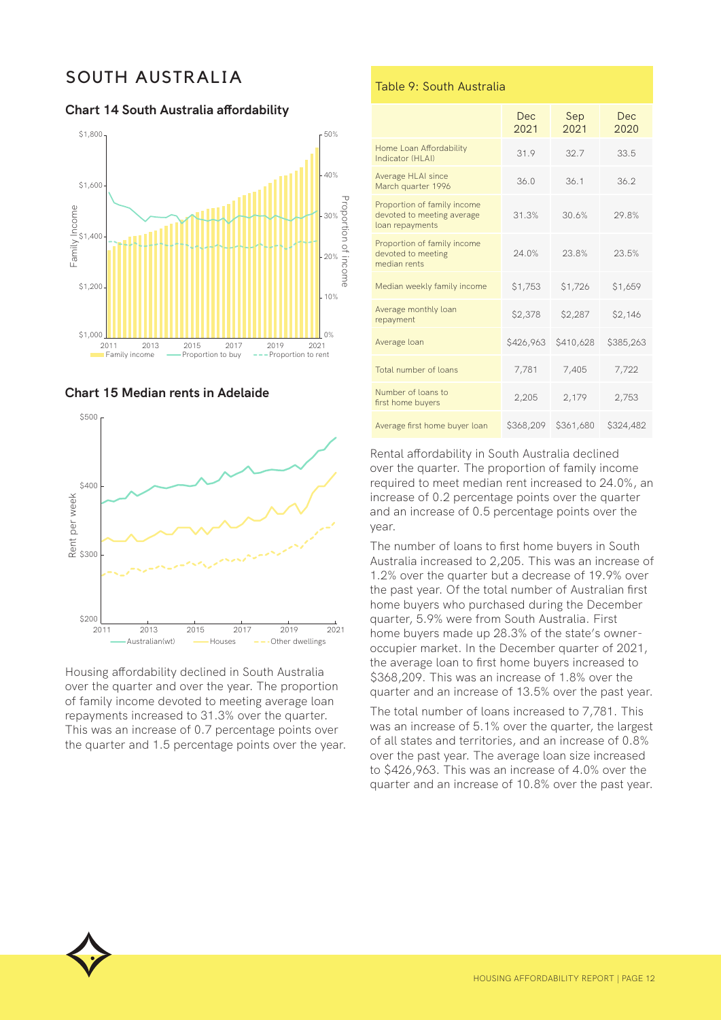## SOUTH AUSTRALIA

**Chart 14 South Australia affordability**







Housing affordability declined in South Australia over the quarter and over the year. The proportion of family income devoted to meeting average loan repayments increased to 31.3% over the quarter. This was an increase of 0.7 percentage points over the quarter and 1.5 percentage points over the year.

#### Table 9: South Australia

|                                                                              | Dec<br>2021 | Sep<br>2021 | Dec<br>2020 |
|------------------------------------------------------------------------------|-------------|-------------|-------------|
| Home Loan Affordability<br>Indicator (HI AI)                                 | 31.9        | 32.7        | 33.5        |
| Average HLAI since<br>March quarter 1996                                     | 36.0        | 36.1        | 36.2        |
| Proportion of family income<br>devoted to meeting average<br>loan repayments | 31.3%       | 30.6%       | 29.8%       |
| Proportion of family income<br>devoted to meeting<br>median rents            | 24.0%       | 23.8%       | 23.5%       |
| Median weekly family income                                                  | \$1,753     | \$1,726     | \$1,659     |
| Average monthly loan<br>repayment                                            | \$2,378     | \$2,287     | \$2,146     |
| Average loan                                                                 | \$426,963   | \$410,628   | \$385,263   |
| Total number of loans                                                        | 7,781       | 7,405       | 7,722       |
| Number of loans to<br>first home buyers                                      | 2,205       | 2,179       | 2,753       |
| Average first home buyer loan                                                | \$368,209   | \$361,680   | \$324,482   |

Rental affordability in South Australia declined over the quarter. The proportion of family income required to meet median rent increased to 24.0%, an increase of 0.2 percentage points over the quarter and an increase of 0.5 percentage points over the year.

The number of loans to first home buyers in South Australia increased to 2,205. This was an increase of 1.2% over the quarter but a decrease of 19.9% over the past year. Of the total number of Australian first home buyers who purchased during the December quarter, 5.9% were from South Australia. First home buyers made up 28.3% of the state's owneroccupier market. In the December quarter of 2021, the average loan to first home buyers increased to \$368,209. This was an increase of 1.8% over the quarter and an increase of 13.5% over the past year.

The total number of loans increased to 7,781. This was an increase of 5.1% over the quarter, the largest of all states and territories, and an increase of 0.8% over the past year. The average loan size increased to \$426,963. This was an increase of 4.0% over the quarter and an increase of 10.8% over the past year.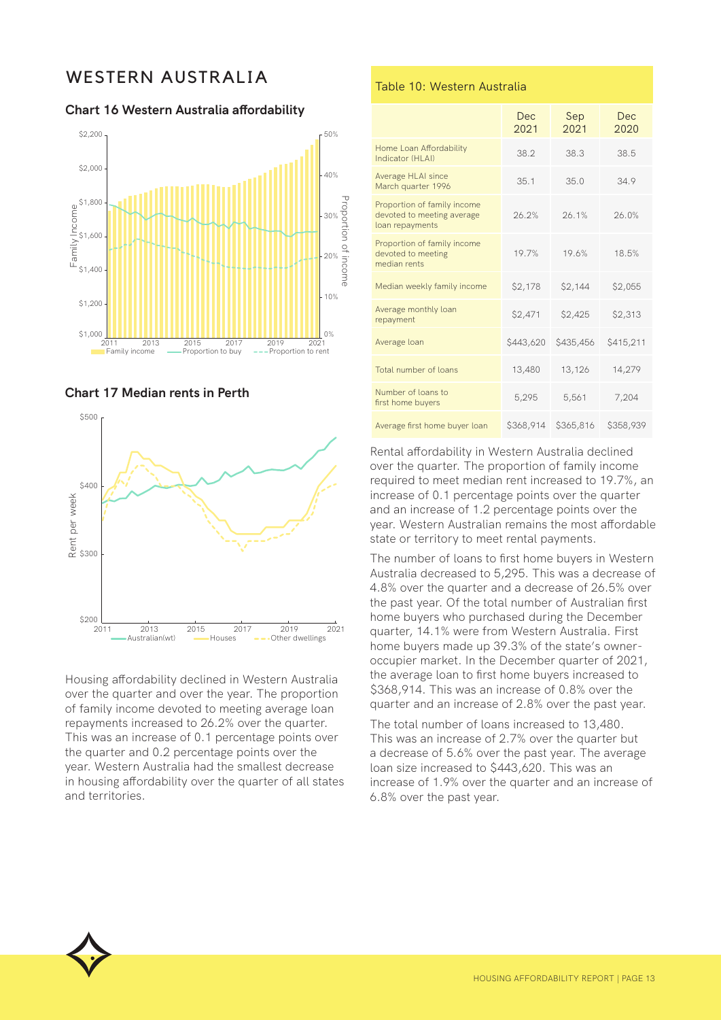## WESTERN AUSTRALIA

**Chart 16 Western Australia affordability**







Housing affordability declined in Western Australia over the quarter and over the year. The proportion of family income devoted to meeting average loan repayments increased to 26.2% over the quarter. This was an increase of 0.1 percentage points over the quarter and 0.2 percentage points over the year. Western Australia had the smallest decrease in housing affordability over the quarter of all states and territories.

#### Table 10: Western Australia

|                                                                              | Dec.<br>2021 | Sep<br>2021 | Dec<br>2020 |
|------------------------------------------------------------------------------|--------------|-------------|-------------|
| Home Loan Affordability<br>Indicator (HI AI)                                 | 38.2         | 38.3        | 38.5        |
| Average HLAI since<br>March quarter 1996                                     | 35.1         | 35.0        | 34.9        |
| Proportion of family income<br>devoted to meeting average<br>loan repayments | 26.2%        | 26.1%       | 26.0%       |
| Proportion of family income<br>devoted to meeting<br>median rents            | 19.7%        | 19.6%       | 18.5%       |
| Median weekly family income                                                  | \$2,178      | \$2,144     | \$2,055     |
| Average monthly loan<br>repayment                                            | \$2,471      | \$2,425     | \$2,313     |
| Average loan                                                                 | \$443,620    | \$435,456   | \$415,211   |
| Total number of loans                                                        | 13,480       | 13,126      | 14,279      |
| Number of loans to<br>first home buyers                                      | 5,295        | 5,561       | 7,204       |
| Average first home buyer loan                                                | \$368,914    | \$365,816   | \$358,939   |

Rental affordability in Western Australia declined over the quarter. The proportion of family income required to meet median rent increased to 19.7%, an increase of 0.1 percentage points over the quarter and an increase of 1.2 percentage points over the year. Western Australian remains the most affordable state or territory to meet rental payments.

The number of loans to first home buyers in Western Australia decreased to 5,295. This was a decrease of 4.8% over the quarter and a decrease of 26.5% over the past year. Of the total number of Australian first home buyers who purchased during the December quarter, 14.1% were from Western Australia. First home buyers made up 39.3% of the state's owneroccupier market. In the December quarter of 2021, the average loan to first home buyers increased to \$368,914. This was an increase of 0.8% over the quarter and an increase of 2.8% over the past year.

The total number of loans increased to 13,480. This was an increase of 2.7% over the quarter but a decrease of 5.6% over the past year. The average loan size increased to \$443,620. This was an increase of 1.9% over the quarter and an increase of 6.8% over the past year.

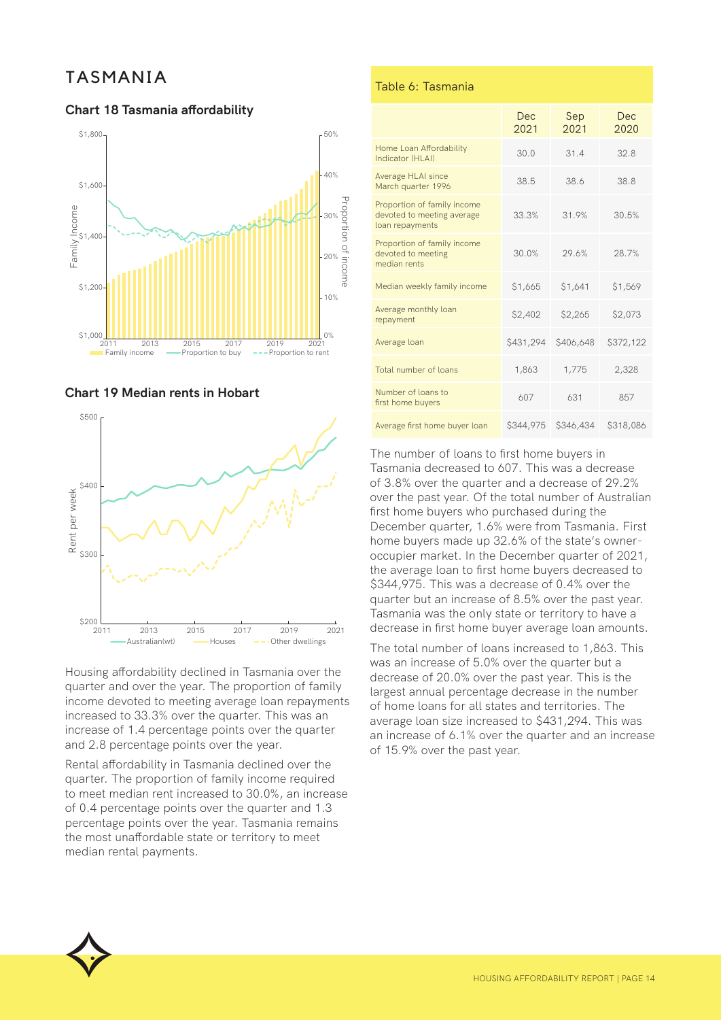## TASMANIA

#### **Chart 18 Tasmania affordability**







Housing affordability declined in Tasmania over the quarter and over the year. The proportion of family income devoted to meeting average loan repayments increased to 33.3% over the quarter. This was an increase of 1.4 percentage points over the quarter and 2.8 percentage points over the year.

Rental affordability in Tasmania declined over the quarter. The proportion of family income required to meet median rent increased to 30.0%, an increase of 0.4 percentage points over the quarter and 1.3 percentage points over the year. Tasmania remains the most unaffordable state or territory to meet median rental payments.

#### Table 6: Tasmania

|                                                                              | Dec<br>2021 | Sep<br>2021 | Dec<br>2020 |
|------------------------------------------------------------------------------|-------------|-------------|-------------|
| Home Loan Affordability<br>Indicator (HI AI)                                 | 30.0        | 31.4        | 32.8        |
| Average HLAI since<br>March quarter 1996                                     | 38.5        | 38.6        | 38.8        |
| Proportion of family income<br>devoted to meeting average<br>loan repayments | 33.3%       | 31.9%       | 30.5%       |
| Proportion of family income<br>devoted to meeting<br>median rents            | 30.0%       | 29.6%       | 28.7%       |
| Median weekly family income                                                  | \$1,665     | \$1,641     | \$1,569     |
| Average monthly loan<br>repayment                                            | \$2,402     | \$2,265     | \$2,073     |
| Average loan                                                                 | \$431,294   | \$406,648   | \$372,122   |
| Total number of loans                                                        | 1,863       | 1,775       | 2,328       |
| Number of loans to<br>first home buyers                                      | 607         | 631         | 857         |
| Average first home buyer loan                                                | \$344,975   | \$346,434   | \$318,086   |

The number of loans to first home buyers in Tasmania decreased to 607. This was a decrease of 3.8% over the quarter and a decrease of 29.2% over the past year. Of the total number of Australian first home buyers who purchased during the December quarter, 1.6% were from Tasmania. First home buyers made up 32.6% of the state's owneroccupier market. In the December quarter of 2021, the average loan to first home buyers decreased to \$344,975. This was a decrease of 0.4% over the quarter but an increase of 8.5% over the past year. Tasmania was the only state or territory to have a decrease in first home buyer average loan amounts.

The total number of loans increased to 1,863. This was an increase of 5.0% over the quarter but a decrease of 20.0% over the past year. This is the largest annual percentage decrease in the number of home loans for all states and territories. The average loan size increased to \$431,294. This was an increase of 6.1% over the quarter and an increase of 15.9% over the past year.

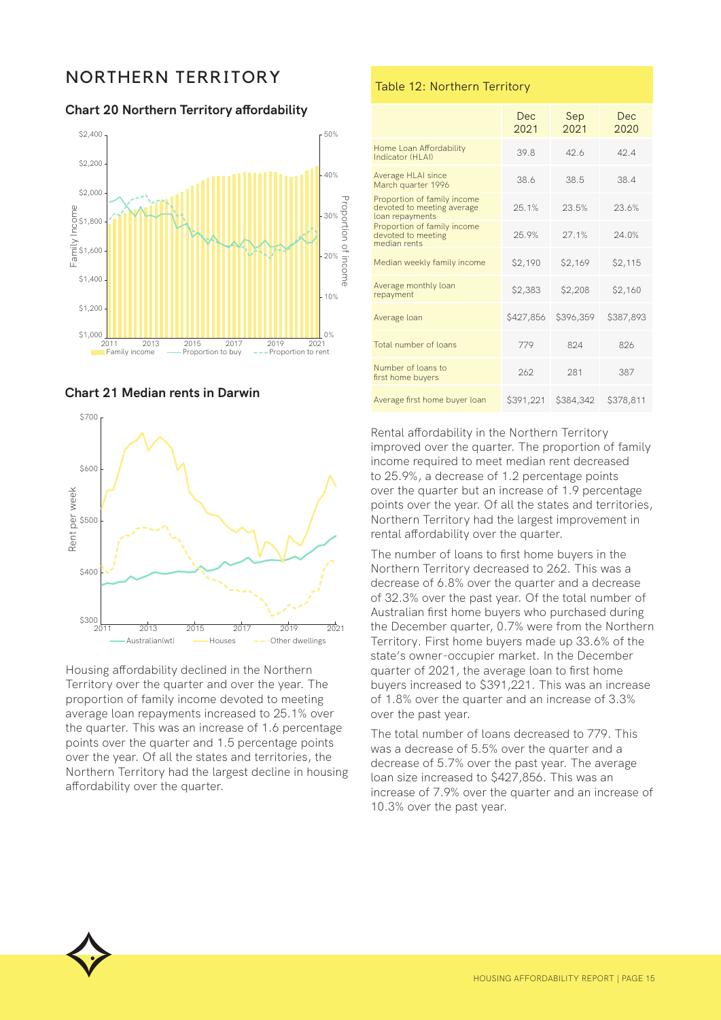## NORTHERN TERRITORY

**Chart 20 Northern Territory affordability**







Housing affordability declined in the Northern Territory over the quarter and over the year. The proportion of family income devoted to meeting average loan repayments increased to 25.1% over the quarter. This was an increase of 1.6 percentage points over the quarter and 1.5 percentage points over the year. Of all the states and territories, the Northern Territory had the largest decline in housing affordability over the quarter.

#### Table 12: Northern Territory

|                                                                              | Dec.<br>2021 | Sep<br>2021 | Dec.<br>2020 |
|------------------------------------------------------------------------------|--------------|-------------|--------------|
| Home Loan Affordability<br>Indicator (HI AI)                                 | 39.8         | 42.6        | 42.4         |
| Average HLAI since<br>March quarter 1996                                     | 38.6         | 38.5        | 38.4         |
| Proportion of family income<br>devoted to meeting average<br>loan repayments | 25.1%        | 23.5%       | 23.6%        |
| Proportion of family income<br>devoted to meeting<br>median rents            | 25.9%        | 27.1%       | 24.0%        |
| Median weekly family income                                                  | \$2,190      | \$2,169     | \$2,115      |
| Average monthly loan<br>repayment                                            | \$2,383      | \$2,208     | \$2,160      |
| Average loan                                                                 | \$427,856    | \$396,359   | \$387,893    |
| Total number of loans                                                        | 779          | 824         | 826          |
| Number of loans to<br>first home buyers                                      | 262          | 281         | 387          |
| Average first home buyer loan                                                | \$391,221    | \$384,342   | \$378,811    |

Rental affordability in the Northern Territory improved over the quarter. The proportion of family income required to meet median rent decreased to 25.9%, a decrease of 1.2 percentage points over the quarter but an increase of 1.9 percentage points over the year. Of all the states and territories, Northern Territory had the largest improvement in rental affordability over the quarter.

The number of loans to first home buyers in the Northern Territory decreased to 262. This was a decrease of 6.8% over the quarter and a decrease of 32.3% over the past year. Of the total number of Australian first home buyers who purchased during the December quarter, 0.7% were from the Northern Territory. First home buyers made up 33.6% of the state's owner-occupier market. In the December quarter of 2021, the average loan to first home buyers increased to \$391,221. This was an increase of 1.8% over the quarter and an increase of 3.3% over the past year.

The total number of loans decreased to 779. This was a decrease of 5.5% over the quarter and a decrease of 5.7% over the past year. The average loan size increased to \$427,856. This was an increase of 7.9% over the quarter and an increase of 10.3% over the past year.

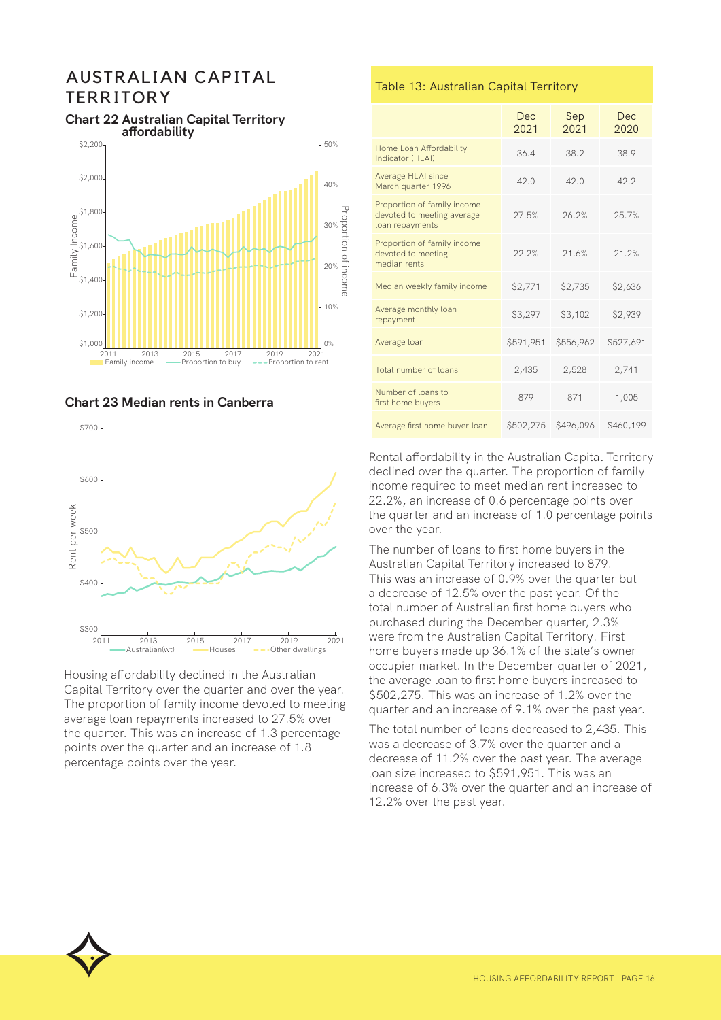## AUSTRALIAN CAPITAL **TERRITORY**



#### **Chart 22 Australian Capital Territory affordability**





Housing affordability declined in the Australian Capital Territory over the quarter and over the year. The proportion of family income devoted to meeting average loan repayments increased to 27.5% over the quarter. This was an increase of 1.3 percentage points over the quarter and an increase of 1.8 percentage points over the year.

#### Table 13: Australian Capital Territory

|                                                                              | <b>Dec</b><br>2021 | Sep<br>2021 | Dec<br>2020 |
|------------------------------------------------------------------------------|--------------------|-------------|-------------|
| Home Loan Affordability<br>Indicator (HLAI)                                  | 36.4               | 38.2        | 38.9        |
| Average HLAI since<br>March quarter 1996                                     | 42.0               | 42.0        | 42.2        |
| Proportion of family income<br>devoted to meeting average<br>loan repayments | 27.5%              | 26.2%       | 25.7%       |
| Proportion of family income<br>devoted to meeting<br>median rents            | 22.2%              | 21.6%       | 21.2%       |
| Median weekly family income                                                  | \$2,771            | \$2,735     | \$2,636     |
| Average monthly loan<br>repayment                                            | \$3,297            | \$3,102     | \$2,939     |
| Average loan                                                                 | \$591,951          | \$556,962   | \$527,691   |
| Total number of loans                                                        | 2,435              | 2,528       | 2,741       |
| Number of loans to<br>first home buyers                                      | 879                | 871         | 1,005       |
| Average first home buyer loan                                                | \$502,275          | \$496,096   | \$460,199   |

Rental affordability in the Australian Capital Territory declined over the quarter. The proportion of family income required to meet median rent increased to 22.2%, an increase of 0.6 percentage points over the quarter and an increase of 1.0 percentage points over the year.

The number of loans to first home buyers in the Australian Capital Territory increased to 879. This was an increase of 0.9% over the quarter but a decrease of 12.5% over the past year. Of the total number of Australian first home buyers who purchased during the December quarter, 2.3% were from the Australian Capital Territory. First home buyers made up 36.1% of the state's owneroccupier market. In the December quarter of 2021, the average loan to first home buyers increased to \$502,275. This was an increase of 1.2% over the quarter and an increase of 9.1% over the past year.

The total number of loans decreased to 2,435. This was a decrease of 3.7% over the quarter and a decrease of 11.2% over the past year. The average loan size increased to \$591,951. This was an increase of 6.3% over the quarter and an increase of 12.2% over the past year.